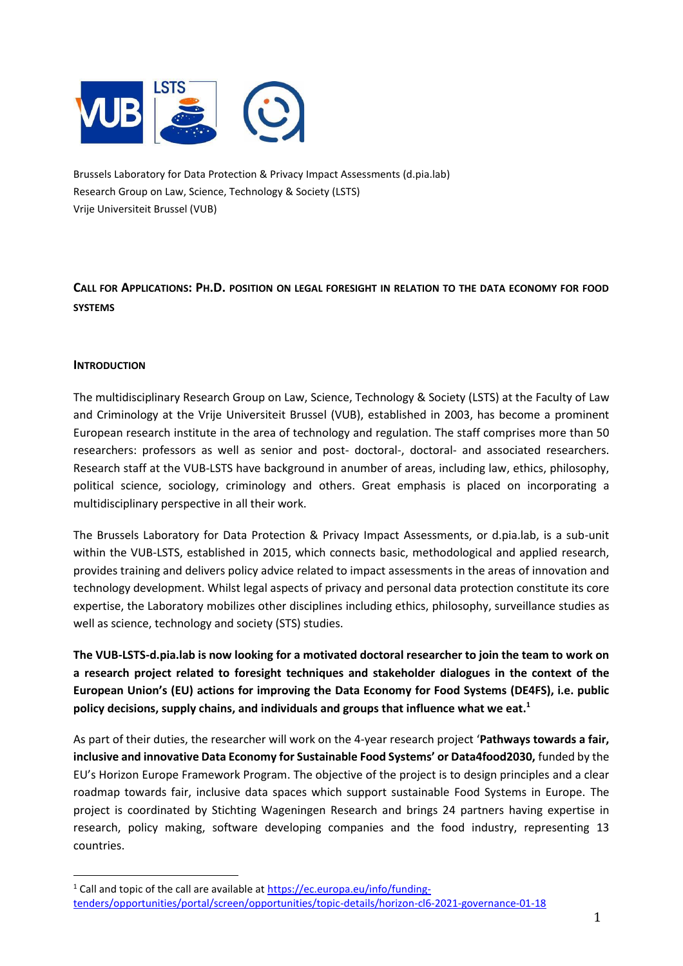

Brussels Laboratory for Data Protection & Privacy Impact Assessments (d.pia.lab) Research Group on Law, Science, Technology & Society (LSTS) Vrije Universiteit Brussel (VUB)

**CALL FOR APPLICATIONS: PH.D. POSITION ON LEGAL FORESIGHT IN RELATION TO THE DATA ECONOMY FOR FOOD SYSTEMS**

### **INTRODUCTION**

The multidisciplinary Research Group on Law, Science, Technology & Society (LSTS) at the Faculty of Law and Criminology at the Vrije Universiteit Brussel (VUB), established in 2003, has become a prominent European research institute in the area of technology and regulation. The staff comprises more than 50 researchers: professors as well as senior and post- doctoral-, doctoral- and associated researchers. Research staff at the VUB-LSTS have background in anumber of areas, including law, ethics, philosophy, political science, sociology, criminology and others. Great emphasis is placed on incorporating a multidisciplinary perspective in all their work.

The Brussels Laboratory for Data Protection & Privacy Impact Assessments, or d.pia.lab, is a sub-unit within the VUB-LSTS, established in 2015, which connects basic, methodological and applied research, provides training and delivers policy advice related to impact assessments in the areas of innovation and technology development. Whilst legal aspects of privacy and personal data protection constitute its core expertise, the Laboratory mobilizes other disciplines including ethics, philosophy, surveillance studies as well as science, technology and society (STS) studies.

**The VUB-LSTS-d.pia.lab is now looking for a motivated doctoral researcher to join the team to work on a research project related to foresight techniques and stakeholder dialogues in the context of the European Union's (EU) actions for improving the Data Economy for Food Systems (DE4FS), i.e. public policy decisions, supply chains, and individuals and groups that influence what we eat.<sup>1</sup>**

As part of their duties, the researcher will work on the 4-year research project '**Pathways towards a fair, inclusive and innovative Data Economy for Sustainable Food Systems' or Data4food2030,** funded by the EU's Horizon Europe Framework Program. The objective of the project is to design principles and a clear roadmap towards fair, inclusive data spaces which support sustainable Food Systems in Europe. The project is coordinated by Stichting Wageningen Research and brings 24 partners having expertise in research, policy making, software developing companies and the food industry, representing 13 countries.

<sup>&</sup>lt;sup>1</sup> Call and topic of the call are available at [https://ec.europa.eu/info/funding](https://ec.europa.eu/info/funding-tenders/opportunities/portal/screen/opportunities/topic-details/horizon-cl6-2021-governance-01-18)[tenders/opportunities/portal/screen/opportunities/topic-details/horizon-cl6-2021-governance-01-18](https://ec.europa.eu/info/funding-tenders/opportunities/portal/screen/opportunities/topic-details/horizon-cl6-2021-governance-01-18)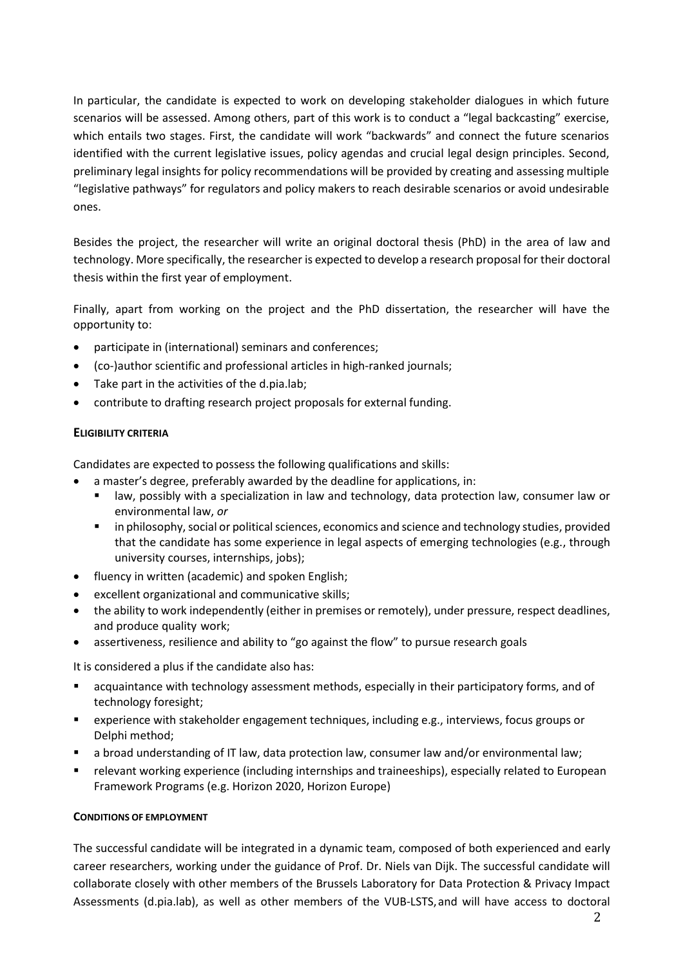In particular, the candidate is expected to work on developing stakeholder dialogues in which future scenarios will be assessed. Among others, part of this work is to conduct a "legal backcasting" exercise, which entails two stages. First, the candidate will work "backwards" and connect the future scenarios identified with the current legislative issues, policy agendas and crucial legal design principles. Second, preliminary legal insights for policy recommendations will be provided by creating and assessing multiple "legislative pathways" for regulators and policy makers to reach desirable scenarios or avoid undesirable ones.

Besides the project, the researcher will write an original doctoral thesis (PhD) in the area of law and technology. More specifically, the researcher is expected to develop a research proposal for their doctoral thesis within the first year of employment.

Finally, apart from working on the project and the PhD dissertation, the researcher will have the opportunity to:

- participate in (international) seminars and conferences;
- (co-)author scientific and professional articles in high-ranked journals;
- Take part in the activities of the d.pia.lab;
- contribute to drafting research project proposals for external funding.

## **ELIGIBILITY CRITERIA**

Candidates are expected to possess the following qualifications and skills:

- a master's degree, preferably awarded by the deadline for applications, in:
	- law, possibly with a specialization in law and technology, data protection law, consumer law or environmental law, *or*
	- in philosophy, social or political sciences, economics and science and technology studies, provided that the candidate has some experience in legal aspects of emerging technologies (e.g., through university courses, internships, jobs);
- fluency in written (academic) and spoken English;
- excellent organizational and communicative skills;
- the ability to work independently (either in premises or remotely), under pressure, respect deadlines, and produce quality work;
- assertiveness, resilience and ability to "go against the flow" to pursue research goals

It is considered a plus if the candidate also has:

- acquaintance with technology assessment methods, especially in their participatory forms, and of technology foresight;
- experience with stakeholder engagement techniques, including e.g., interviews, focus groups or Delphi method;
- a broad understanding of IT law, data protection law, consumer law and/or environmental law;
- relevant working experience (including internships and traineeships), especially related to European Framework Programs (e.g. Horizon 2020, Horizon Europe)

#### **CONDITIONS OF EMPLOYMENT**

The successful candidate will be integrated in a dynamic team, composed of both experienced and early career researchers, working under the guidance of Prof. Dr. Niels van Dijk. The successful candidate will collaborate closely with other members of the Brussels Laboratory for Data Protection & Privacy Impact Assessments (d.pia.lab), as well as other members of the VUB-LSTS,and will have access to doctoral